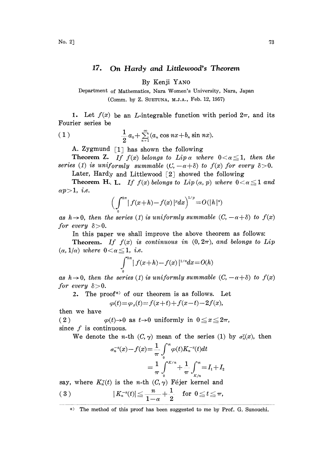## 17. On Hardy and Littlewood's Theorem

By Kenji YANO

Department of Mathematics, Nara Women's University, Nara, Japan (Comm. by Z. SUETUNA, M.J.A., Feb. 12, 1957)

1. Let  $f(x)$  be an *L*-integrable function with period  $2\pi$ , and its Fourier series be

(1) 
$$
\frac{1}{2}a_0+\sum_{n=1}^{\infty}(a_n\cos nx+b_n\sin nx).
$$

A. Zygmund  $\lceil 1 \rceil$  has shown the following

**Theorem Z.** If  $f(x)$  belongs to  $Lip \alpha$  where  $0 < \alpha \leq 1$ , then the series (1) is uniformly summable  $(C, -\alpha+\delta)$  to  $f(x)$  for every  $\delta > 0$ .

Later, Hardy and Littlewood  $\lceil 2 \rceil$  showed the following

**Theorem H, L.** If  $f(x)$  belongs to  $Lip(\alpha, p)$  where  $0 < \alpha \leq 1$  and  $\alpha p > 1$ , *i.e.* 

$$
\Big(\int\limits_{0}^{2\pi}\big|\,f(x+h)\!-\!f(x)\,|^p dx\Big)^{1/p}\!=\!O(|\,h\,|^a)
$$

as  $h\rightarrow 0$ , then the series (1) is uniformly summable  $(C,-\alpha+\delta)$  to  $f(x)$ for every  $\delta > 0$ .

In this paper we shall improve the above theorem as follows:

**Theorem.** If  $f(x)$  is continuous in  $(0, 2\pi)$ , and belongs to Lip  $(\alpha, 1/\alpha)$  where  $0 < \alpha \leq 1$ , *i.e.* 

$$
\int_{0}^{2\pi} |f(x+h) - f(x)|^{1/a} dx = O(h)
$$

as  $h\to 0$ , then the series (1) is uniformly summable  $(C,-\alpha+\delta)$  to  $f(x)$ for every  $\delta > 0$ .

2. The proof<sup>\*</sup> of our theorem is as follows. Let

$$
\varphi(t) {=} \varphi_{\textit{x}}(t) {=} f(x{+}t) {+} f(x{-}t) {-} 2 f(x),
$$

then we have

(2)  $\varphi(t) \to 0$  as  $t \to 0$  uniformly in  $0 \le x \le 2\pi$ , since  $f$  is continuous.

We denote the *n*-th  $(C, \gamma)$  mean of the series (1) by  $\sigma_n^{\gamma}(x)$ , then

$$
\sigma_n^{-\alpha}(x) - f(x) = \frac{1}{\pi} \int_0^{\pi} \varphi(t) K_n^{-\alpha}(t) dt
$$
  
=  $\frac{1}{\pi} \int_0^{K/n} + \frac{1}{\pi} \int_{K/n}^{\pi} = I_1 + I_2$ 

say, where  $K_n^{\tau}(t)$  is the *n*-th  $(C, \gamma)$  Féjer kernel and

(3) 
$$
|K_n^{-\alpha}(t)| \leq \frac{n}{1-\alpha} + \frac{1}{2} \quad \text{for } 0 \leq t \leq \pi,
$$

<sup>\*&</sup>gt; The method of this proof has been suggested to me by Prof. G. Sunouchi.